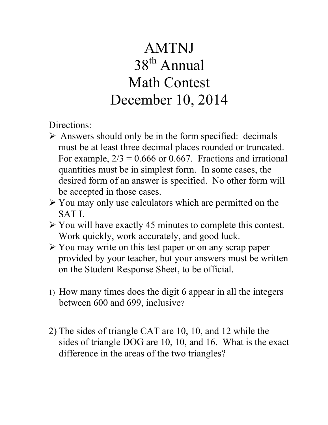## AMTNJ 38th Annual Math Contest December 10, 2014

Directions:

- $\triangleright$  Answers should only be in the form specified: decimals must be at least three decimal places rounded or truncated. For example,  $2/3 = 0.666$  or 0.667. Fractions and irrational quantities must be in simplest form. In some cases, the desired form of an answer is specified. No other form will be accepted in those cases.
- $\triangleright$  You may only use calculators which are permitted on the SAT I.
- $\triangleright$  You will have exactly 45 minutes to complete this contest. Work quickly, work accurately, and good luck.
- $\triangleright$  You may write on this test paper or on any scrap paper provided by your teacher, but your answers must be written on the Student Response Sheet, to be official.
- 1) How many times does the digit 6 appear in all the integers between 600 and 699, inclusive?
- 2) The sides of triangle CAT are 10, 10, and 12 while the sides of triangle DOG are 10, 10, and 16. What is the exact difference in the areas of the two triangles?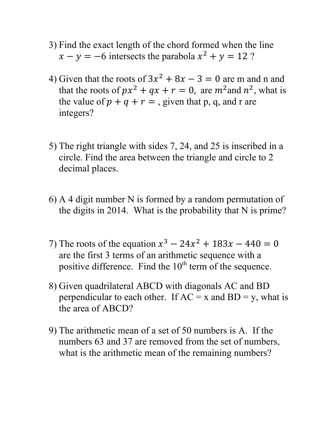- 3) Find the exact length of the chord formed when the line  $x - y = -6$  intersects the parabola  $x^2 + y = 12$  ?
- 4) Given that the roots of  $3x^2 + 8x 3 = 0$  are m and n and that the roots of  $px^2 + qx + r = 0$ , are  $m^2$  and  $n^2$ , what is the value of  $p + q + r =$ , given that p, q, and r are integers?
- 5) The right triangle with sides 7, 24, and 25 is inscribed in a circle. Find the area between the triangle and circle to 2 decimal places.
- 6) A 4 digit number N is formed by a random permutation of the digits in 2014. What is the probability that N is prime?
- 7) The roots of the equation  $x^3 24x^2 + 183x 440 = 0$ are the first 3 terms of an arithmetic sequence with a positive difference. Find the  $10<sup>th</sup>$  term of the sequence.
- 8) Given quadrilateral ABCD with diagonals AC and BD perpendicular to each other. If  $AC = x$  and  $BD = y$ , what is the area of ABCD?
- 9) The arithmetic mean of a set of 50 numbers is A. If the numbers 63 and 37 are removed from the set of numbers, what is the arithmetic mean of the remaining numbers?